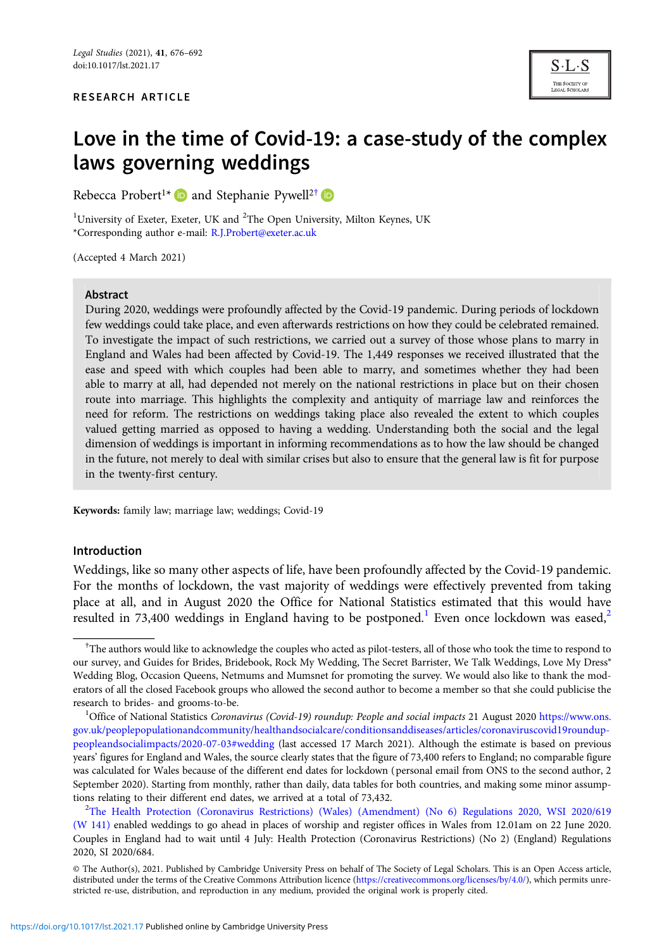# RESEARCH ARTICLE



# Love in the time of Covid-19: a case-study of the complex laws governing weddings

Rebecca Probert<sup>1\*</sup>  $\Box$  and Stephanie Pywell<sup>2†</sup>  $\Box$ 

<sup>1</sup>University of Exeter, Exeter, UK and  $2$ The Open University, Milton Keynes, UK \*Corresponding author e-mail: [R.J.Probert@exeter.ac.uk](mailto:R.J.Probert@exeter.ac.uk)

(Accepted 4 March 2021)

#### Abstract

During 2020, weddings were profoundly affected by the Covid-19 pandemic. During periods of lockdown few weddings could take place, and even afterwards restrictions on how they could be celebrated remained. To investigate the impact of such restrictions, we carried out a survey of those whose plans to marry in England and Wales had been affected by Covid-19. The 1,449 responses we received illustrated that the ease and speed with which couples had been able to marry, and sometimes whether they had been able to marry at all, had depended not merely on the national restrictions in place but on their chosen route into marriage. This highlights the complexity and antiquity of marriage law and reinforces the need for reform. The restrictions on weddings taking place also revealed the extent to which couples valued getting married as opposed to having a wedding. Understanding both the social and the legal dimension of weddings is important in informing recommendations as to how the law should be changed in the future, not merely to deal with similar crises but also to ensure that the general law is fit for purpose in the twenty-first century.

Keywords: family law; marriage law; weddings; Covid-19

## Introduction

Weddings, like so many other aspects of life, have been profoundly affected by the Covid-19 pandemic. For the months of lockdown, the vast majority of weddings were effectively prevented from taking place at all, and in August 2020 the Office for National Statistics estimated that this would have resulted in 73,400 weddings in England having to be postponed.<sup>1</sup> Even once lockdown was eased,<sup>2</sup>

<sup>&</sup>lt;sup>+</sup>The authors would like to acknowledge the couples who acted as pilot-testers, all of those who took the time to respond to our survey, and Guides for Brides, Bridebook, Rock My Wedding, The Secret Barrister, We Talk Weddings, Love My Dress® Wedding Blog, Occasion Queens, Netmums and Mumsnet for promoting the survey. We would also like to thank the moderators of all the closed Facebook groups who allowed the second author to become a member so that she could publicise the research to brides- and grooms-to-be. <sup>1</sup>

<sup>&</sup>lt;sup>1</sup>Office of National Statistics Coronavirus (Covid-19) roundup: People and social impacts 21 August 2020 [https://www.ons.](https://www.ons.gov.uk/peoplepopulationandcommunity/healthandsocialcare/conditionsanddiseases/articles/coronaviruscovid19rounduppeopleandsocialimpacts/2020-07-03#wedding) [gov.uk/peoplepopulationandcommunity/healthandsocialcare/conditionsanddiseases/articles/coronaviruscovid19roundup](https://www.ons.gov.uk/peoplepopulationandcommunity/healthandsocialcare/conditionsanddiseases/articles/coronaviruscovid19rounduppeopleandsocialimpacts/2020-07-03#wedding)[peopleandsocialimpacts/2020-07-03#wedding](https://www.ons.gov.uk/peoplepopulationandcommunity/healthandsocialcare/conditionsanddiseases/articles/coronaviruscovid19rounduppeopleandsocialimpacts/2020-07-03#wedding) (last accessed 17 March 2021). Although the estimate is based on previous years' figures for England and Wales, the source clearly states that the figure of 73,400 refers to England; no comparable figure was calculated for Wales because of the different end dates for lockdown (personal email from ONS to the second author, 2 September 2020). Starting from monthly, rather than daily, data tables for both countries, and making some minor assumptions relating to their different end dates, we arrived at a total of 73,432.

<sup>&</sup>lt;sup>2</sup>[The Health Protection \(Coronavirus Restrictions\) \(Wales\) \(Amendment\) \(No 6\) Regulations 2020, WSI 2020/619](http://www.legislation.gov.uk/wsi/2020/619/contents/made) [\(W 141\)](http://www.legislation.gov.uk/wsi/2020/619/contents/made) enabled weddings to go ahead in places of worship and register offices in Wales from 12.01am on 22 June 2020. Couples in England had to wait until 4 July: Health Protection (Coronavirus Restrictions) (No 2) (England) Regulations 2020, SI 2020/684.

<sup>©</sup> The Author(s), 2021. Published by Cambridge University Press on behalf of The Society of Legal Scholars. This is an Open Access article, distributed under the terms of the Creative Commons Attribution licence ([https://creativecommons.org/licenses/by/4.0/\)](https://creativecommons.org/licenses/by/4.0/), which permits unrestricted re-use, distribution, and reproduction in any medium, provided the original work is properly cited.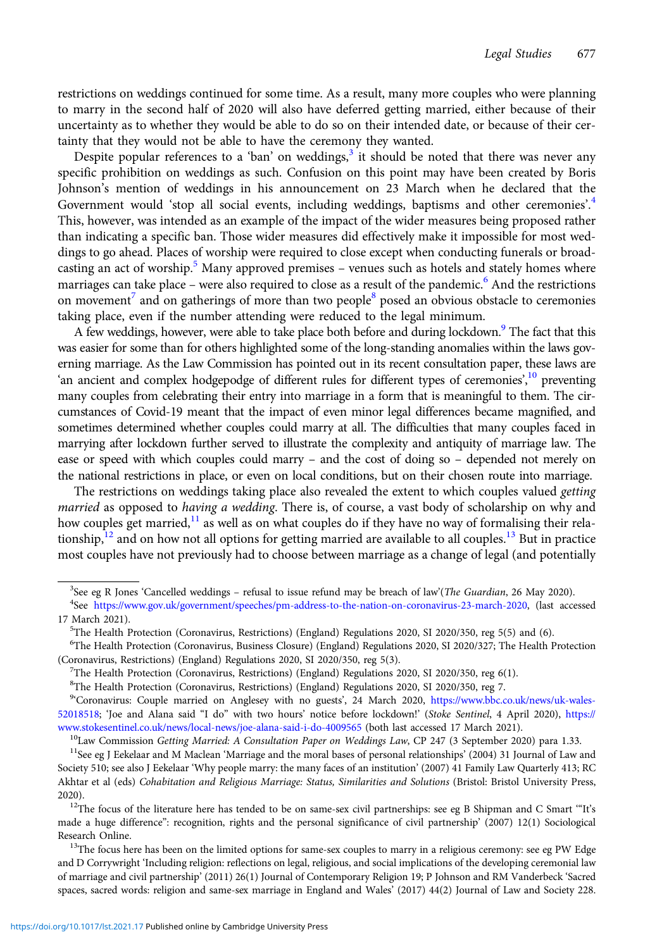restrictions on weddings continued for some time. As a result, many more couples who were planning to marry in the second half of 2020 will also have deferred getting married, either because of their uncertainty as to whether they would be able to do so on their intended date, or because of their certainty that they would not be able to have the ceremony they wanted.

Despite popular references to a 'ban' on weddings, $3$  it should be noted that there was never any specific prohibition on weddings as such. Confusion on this point may have been created by Boris Johnson's mention of weddings in his announcement on 23 March when he declared that the Government would 'stop all social events, including weddings, baptisms and other ceremonies'.<sup>4</sup> This, however, was intended as an example of the impact of the wider measures being proposed rather than indicating a specific ban. Those wider measures did effectively make it impossible for most weddings to go ahead. Places of worship were required to close except when conducting funerals or broadcasting an act of worship.<sup>5</sup> Many approved premises – venues such as hotels and stately homes where marriages can take place – were also required to close as a result of the pandemic.<sup>6</sup> And the restrictions on movement<sup>7</sup> and on gatherings of more than two people<sup>8</sup> posed an obvious obstacle to ceremonies taking place, even if the number attending were reduced to the legal minimum.

A few weddings, however, were able to take place both before and during lockdown.<sup>9</sup> The fact that this was easier for some than for others highlighted some of the long-standing anomalies within the laws governing marriage. As the Law Commission has pointed out in its recent consultation paper, these laws are 'an ancient and complex hodgepodge of different rules for different types of ceremonies',<sup>10</sup> preventing many couples from celebrating their entry into marriage in a form that is meaningful to them. The circumstances of Covid-19 meant that the impact of even minor legal differences became magnified, and sometimes determined whether couples could marry at all. The difficulties that many couples faced in marrying after lockdown further served to illustrate the complexity and antiquity of marriage law. The ease or speed with which couples could marry – and the cost of doing so – depended not merely on the national restrictions in place, or even on local conditions, but on their chosen route into marriage.

The restrictions on weddings taking place also revealed the extent to which couples valued getting married as opposed to having a wedding. There is, of course, a vast body of scholarship on why and how couples get married, $^{11}$  as well as on what couples do if they have no way of formalising their relationship, $12$  and on how not all options for getting married are available to all couples.<sup>13</sup> But in practice most couples have not previously had to choose between marriage as a change of legal (and potentially

<sup>&</sup>lt;sup>3</sup>See eg R Jones 'Cancelled weddings – refusal to issue refund may be breach of law'(*The Guardian*, 26 May 2020).<br><sup>4</sup>See https://www.gov.uk/government/speeches/pm.address.to.the.pation.on.coronavirus.23.march-2020. (las

See [https://www.gov.uk/government/speeches/pm-address-to-the-nation-on-coronavirus-23-march-2020,](https://www.gov.uk/government/speeches/pm-address-to-the-nation-on-coronavirus-23-march-2020) (last accessed 17 March 2021).

<sup>&</sup>lt;sup>5</sup>The Health Protection (Coronavirus, Restrictions) (England) Regulations 2020, SI 2020/350, reg 5(5) and (6).

<sup>6</sup> The Health Protection (Coronavirus, Business Closure) (England) Regulations 2020, SI 2020/327; The Health Protection (Coronavirus, Restrictions) (England) Regulations 2020, SI 2020/350, reg 5(3). <sup>7</sup>

<sup>&</sup>lt;sup>7</sup>The Health Protection (Coronavirus, Restrictions) (England) Regulations 2020, SI 2020/350, reg 6(1).

<sup>&</sup>lt;sup>8</sup>The Health Protection (Coronavirus, Restrictions) (England) Regulations 2020, SI 2020/350, reg 7.

<sup>&</sup>lt;sup>9</sup>'Coronavirus: Couple married on Anglesey with no guests', 24 March 2020, [https://www.bbc.co.uk/news/uk-wales-](https://www.bbc.co.uk/news/uk-wales-52018518)[52018518](https://www.bbc.co.uk/news/uk-wales-52018518); 'Joe and Alana said "I do" with two hours' notice before lockdown!' (Stoke Sentinel, 4 April 2020), [https://](https://www.stokesentinel.co.uk/news/local-news/joe-alana-said-i-do-4009565) [www.stokesentinel.co.uk/news/local-news/joe-alana-said-i-do-4009565](https://www.stokesentinel.co.uk/news/local-news/joe-alana-said-i-do-4009565) (both last accessed 17 March 2021).<br><sup>10</sup>Law Commission *Getting Married: A Consultation Paper on Weddings Law*, CP 247 (3 September 2020) para 1.33.<br><sup>11</sup>S

Society 510; see also J Eekelaar 'Why people marry: the many faces of an institution' (2007) 41 Family Law Quarterly 413; RC Akhtar et al (eds) Cohabitation and Religious Marriage: Status, Similarities and Solutions (Bristol: Bristol University Press, 2020).<br><sup>12</sup>The focus of the literature here has tended to be on same-sex civil partnerships: see eg B Shipman and C Smart "It's

made a huge difference": recognition, rights and the personal significance of civil partnership' (2007) 12(1) Sociological Research Online.<br><sup>13</sup>The focus here has been on the limited options for same-sex couples to marry in a religious ceremony: see eg PW Edge

and D Corrywright 'Including religion: reflections on legal, religious, and social implications of the developing ceremonial law of marriage and civil partnership' (2011) 26(1) Journal of Contemporary Religion 19; P Johnson and RM Vanderbeck 'Sacred spaces, sacred words: religion and same-sex marriage in England and Wales' (2017) 44(2) Journal of Law and Society 228.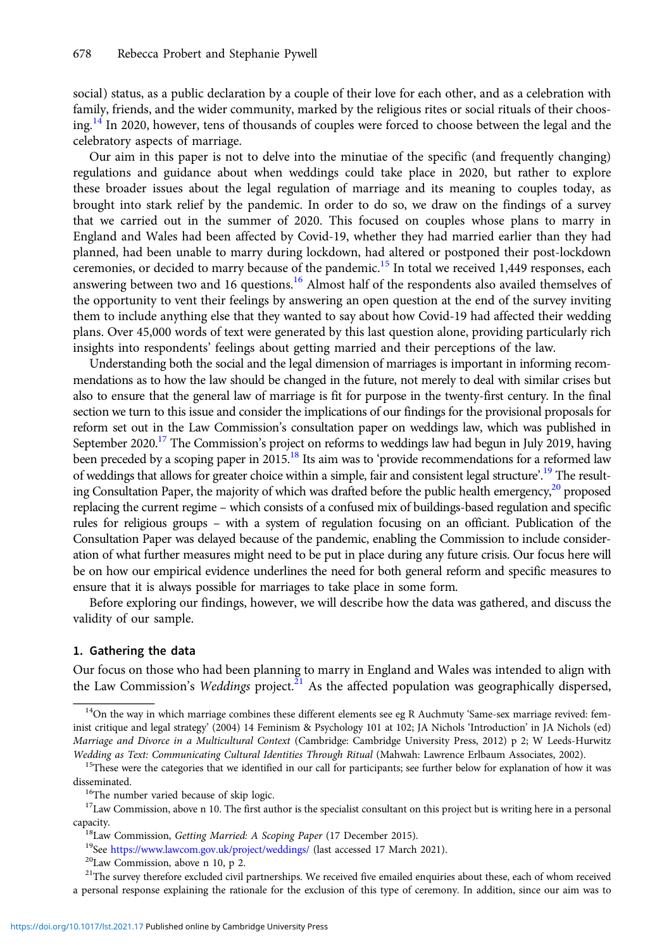social) status, as a public declaration by a couple of their love for each other, and as a celebration with family, friends, and the wider community, marked by the religious rites or social rituals of their choosing.<sup>14</sup> In 2020, however, tens of thousands of couples were forced to choose between the legal and the celebratory aspects of marriage.

Our aim in this paper is not to delve into the minutiae of the specific (and frequently changing) regulations and guidance about when weddings could take place in 2020, but rather to explore these broader issues about the legal regulation of marriage and its meaning to couples today, as brought into stark relief by the pandemic. In order to do so, we draw on the findings of a survey that we carried out in the summer of 2020. This focused on couples whose plans to marry in England and Wales had been affected by Covid-19, whether they had married earlier than they had planned, had been unable to marry during lockdown, had altered or postponed their post-lockdown ceremonies, or decided to marry because of the pandemic.<sup>15</sup> In total we received 1,449 responses, each answering between two and 16 questions.<sup>16</sup> Almost half of the respondents also availed themselves of the opportunity to vent their feelings by answering an open question at the end of the survey inviting them to include anything else that they wanted to say about how Covid-19 had affected their wedding plans. Over 45,000 words of text were generated by this last question alone, providing particularly rich insights into respondents' feelings about getting married and their perceptions of the law.

Understanding both the social and the legal dimension of marriages is important in informing recommendations as to how the law should be changed in the future, not merely to deal with similar crises but also to ensure that the general law of marriage is fit for purpose in the twenty-first century. In the final section we turn to this issue and consider the implications of our findings for the provisional proposals for reform set out in the Law Commission's consultation paper on weddings law, which was published in September 2020.<sup>17</sup> The Commission's project on reforms to weddings law had begun in July 2019, having been preceded by a scoping paper in 2015.<sup>18</sup> Its aim was to 'provide recommendations for a reformed law of weddings that allows for greater choice within a simple, fair and consistent legal structure'.<sup>19</sup> The resulting Consultation Paper, the majority of which was drafted before the public health emergency, $20$  proposed replacing the current regime – which consists of a confused mix of buildings-based regulation and specific rules for religious groups – with a system of regulation focusing on an officiant. Publication of the Consultation Paper was delayed because of the pandemic, enabling the Commission to include consideration of what further measures might need to be put in place during any future crisis. Our focus here will be on how our empirical evidence underlines the need for both general reform and specific measures to ensure that it is always possible for marriages to take place in some form.

Before exploring our findings, however, we will describe how the data was gathered, and discuss the validity of our sample.

# 1. Gathering the data

Our focus on those who had been planning to marry in England and Wales was intended to align with the Law Commission's Weddings project.<sup>21</sup> As the affected population was geographically dispersed,

 $14$ On the way in which marriage combines these different elements see eg R Auchmuty 'Same-sex marriage revived: feminist critique and legal strategy' (2004) 14 Feminism & Psychology 101 at 102; JA Nichols 'Introduction' in JA Nichols (ed) Marriage and Divorce in a Multicultural Context (Cambridge: Cambridge University Press, 2012) p 2; W Leeds-Hurwitz Wedding as Text: Communicating Cultural Identities Through Ritual (Mahwah: Lawrence Erlbaum Associates, 2002).<br><sup>15</sup>These were the categories that we identified in our call for participants; see further below for explanatio

disseminated.<br><sup>16</sup>The number varied because of skip logic.

<sup>&</sup>lt;sup>17</sup>Law Commission, above n 10. The first author is the specialist consultant on this project but is writing here in a personal capacity. 18Law Commission, Getting Married: A Scoping Paper (17 December 2015).<br><sup>19</sup>See <https://www.lawcom.gov.uk/project/weddings/> (last accessed 17 March 2021).<br><sup>20</sup>Law Commission, above n 10, p 2.

<sup>&</sup>lt;sup>21</sup>The survey therefore excluded civil partnerships. We received five emailed enquiries about these, each of whom received a personal response explaining the rationale for the exclusion of this type of ceremony. In addition, since our aim was to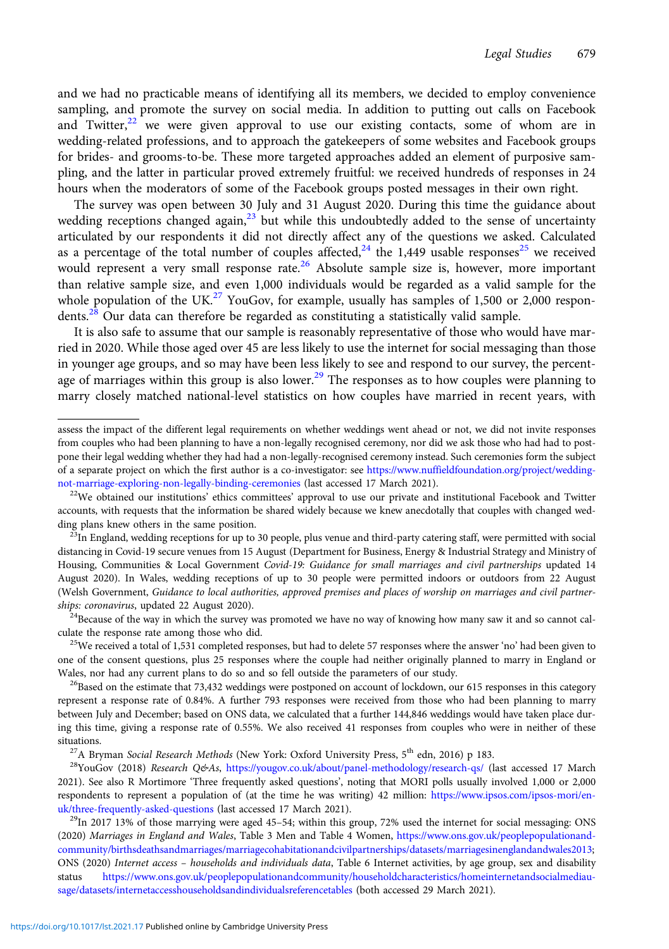and we had no practicable means of identifying all its members, we decided to employ convenience sampling, and promote the survey on social media. In addition to putting out calls on Facebook and Twitter, $2^2$  we were given approval to use our existing contacts, some of whom are in wedding-related professions, and to approach the gatekeepers of some websites and Facebook groups for brides- and grooms-to-be. These more targeted approaches added an element of purposive sampling, and the latter in particular proved extremely fruitful: we received hundreds of responses in 24 hours when the moderators of some of the Facebook groups posted messages in their own right.

The survey was open between 30 July and 31 August 2020. During this time the guidance about wedding receptions changed again, $^{23}$  but while this undoubtedly added to the sense of uncertainty articulated by our respondents it did not directly affect any of the questions we asked. Calculated as a percentage of the total number of couples affected, $24$  the 1,449 usable responses<sup>25</sup> we received would represent a very small response rate.<sup>26</sup> Absolute sample size is, however, more important than relative sample size, and even 1,000 individuals would be regarded as a valid sample for the whole population of the UK.<sup>27</sup> YouGov, for example, usually has samples of 1,500 or 2,000 respondents.<sup>28</sup> Our data can therefore be regarded as constituting a statistically valid sample.

It is also safe to assume that our sample is reasonably representative of those who would have married in 2020. While those aged over 45 are less likely to use the internet for social messaging than those in younger age groups, and so may have been less likely to see and respond to our survey, the percentage of marriages within this group is also lower.<sup>29</sup> The responses as to how couples were planning to marry closely matched national-level statistics on how couples have married in recent years, with

ships: coronavirus, updated 22 August 2020).<br><sup>24</sup>Because of the way in which the survey was promoted we have no way of knowing how many saw it and so cannot calculate the response rate among those who did.<br><sup>25</sup>We received a total of 1,531 completed responses, but had to delete 57 responses where the answer 'no' had been given to

one of the consent questions, plus 25 responses where the couple had neither originally planned to marry in England or Wales, nor had any current plans to do so and so fell outside the parameters of our study.<br><sup>26</sup>Based on the estimate that 73,432 weddings were postponed on account of lockdown, our 615 responses in this category

represent a response rate of 0.84%. A further 793 responses were received from those who had been planning to marry between July and December; based on ONS data, we calculated that a further 144,846 weddings would have taken place during this time, giving a response rate of 0.55%. We also received 41 responses from couples who were in neither of these situations.<br><sup>27</sup>A Bryman *Social Research Methods* (New York: Oxford University Press, 5<sup>th</sup> edn, 2016) p 183.<br><sup>28</sup>YouGov (2018) *Research Q&As*, <https://yougov.co.uk/about/panel-methodology/research-qs/> (last accessed 17

2021). See also R Mortimore 'Three frequently asked questions', noting that MORI polls usually involved 1,000 or 2,000 respondents to represent a population of (at the time he was writing) 42 million: [https://www.ipsos.com/ipsos-mori/en](https://www.ipsos.com/ipsos-mori/en-uk/three-frequently-asked-questions)[uk/three-frequently-asked-questions](https://www.ipsos.com/ipsos-mori/en-uk/three-frequently-asked-questions) (last accessed 17 March 2021).<br><sup>29</sup>In 2017 13% of those marrying were aged 45–54; within this group, 72% used the internet for social messaging: ONS

(2020) Marriages in England and Wales, Table 3 Men and Table 4 Women, [https://www.ons.gov.uk/peoplepopulationand](https://www.ons.gov.uk/peoplepopulationandcommunity/birthsdeathsandmarriages/marriagecohabitationandcivilpartnerships/datasets/marriagesinenglandandwales2013)[community/birthsdeathsandmarriages/marriagecohabitationandcivilpartnerships/datasets/marriagesinenglandandwales2013;](https://www.ons.gov.uk/peoplepopulationandcommunity/birthsdeathsandmarriages/marriagecohabitationandcivilpartnerships/datasets/marriagesinenglandandwales2013) ONS (2020) Internet access – households and individuals data, Table 6 Internet activities, by age group, sex and disability status [https://www.ons.gov.uk/peoplepopulationandcommunity/householdcharacteristics/homeinternetandsocialmediau](https://www.ons.gov.uk/peoplepopulationandcommunity/householdcharacteristics/homeinternetandsocialmediausage/datasets/internetaccesshouseholdsandindividualsreferencetables)[sage/datasets/internetaccesshouseholdsandindividualsreferencetables](https://www.ons.gov.uk/peoplepopulationandcommunity/householdcharacteristics/homeinternetandsocialmediausage/datasets/internetaccesshouseholdsandindividualsreferencetables) (both accessed 29 March 2021).

assess the impact of the different legal requirements on whether weddings went ahead or not, we did not invite responses from couples who had been planning to have a non-legally recognised ceremony, nor did we ask those who had had to postpone their legal wedding whether they had had a non-legally-recognised ceremony instead. Such ceremonies form the subject of a separate project on which the first author is a co-investigator: see [https://www.nuffieldfoundation.org/project/wedding](https://www.nuffieldfoundation.org/project/wedding-not-marriage-exploring-non-legally-binding-ceremonies)[not-marriage-exploring-non-legally-binding-ceremonies](https://www.nuffieldfoundation.org/project/wedding-not-marriage-exploring-non-legally-binding-ceremonies) (last accessed 17 March 2021).<br><sup>22</sup>We obtained our institutions' ethics committees' approval to use our private and institutional Facebook and Twitter

accounts, with requests that the information be shared widely because we knew anecdotally that couples with changed wedding plans knew others in the same position.<br><sup>23</sup>In England, wedding receptions for up to 30 people, plus venue and third-party catering staff, were permitted with social

distancing in Covid-19 secure venues from 15 August (Department for Business, Energy & Industrial Strategy and Ministry of Housing, Communities & Local Government Covid-19: Guidance for small marriages and civil partnerships updated 14 August 2020). In Wales, wedding receptions of up to 30 people were permitted indoors or outdoors from 22 August (Welsh Government, Guidance to local authorities, approved premises and places of worship on marriages and civil partner-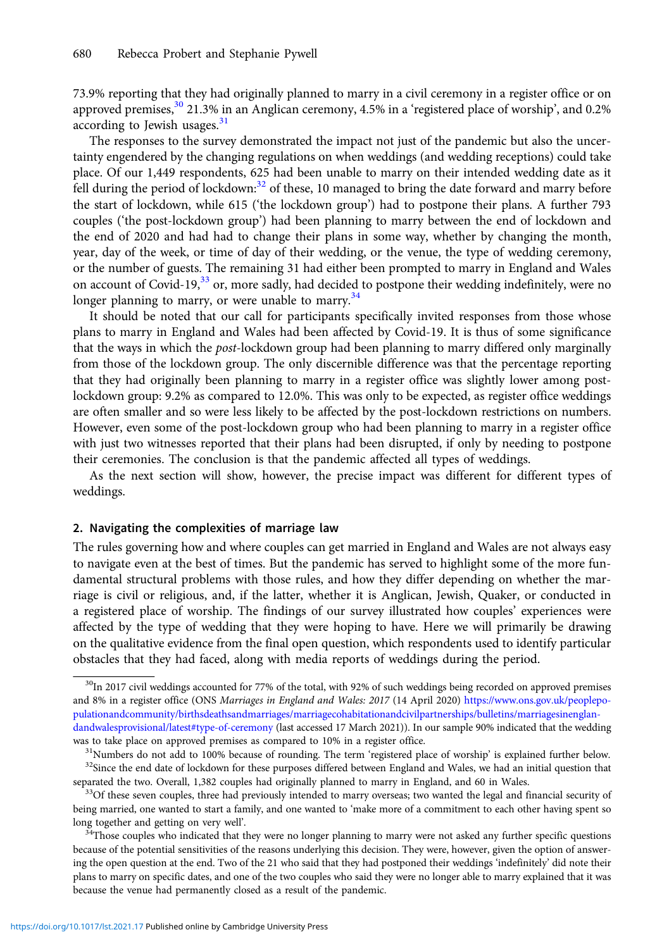73.9% reporting that they had originally planned to marry in a civil ceremony in a register office or on approved premises,<sup>30</sup> 21.3% in an Anglican ceremony, 4.5% in a 'registered place of worship', and 0.2% according to Jewish usages. $31$ 

The responses to the survey demonstrated the impact not just of the pandemic but also the uncertainty engendered by the changing regulations on when weddings (and wedding receptions) could take place. Of our 1,449 respondents, 625 had been unable to marry on their intended wedding date as it fell during the period of lockdown: $32$  of these, 10 managed to bring the date forward and marry before the start of lockdown, while 615 ('the lockdown group') had to postpone their plans. A further 793 couples ('the post-lockdown group') had been planning to marry between the end of lockdown and the end of 2020 and had had to change their plans in some way, whether by changing the month, year, day of the week, or time of day of their wedding, or the venue, the type of wedding ceremony, or the number of guests. The remaining 31 had either been prompted to marry in England and Wales on account of Covid-19,<sup>33</sup> or, more sadly, had decided to postpone their wedding indefinitely, were no longer planning to marry, or were unable to marry. $34$ 

It should be noted that our call for participants specifically invited responses from those whose plans to marry in England and Wales had been affected by Covid-19. It is thus of some significance that the ways in which the post-lockdown group had been planning to marry differed only marginally from those of the lockdown group. The only discernible difference was that the percentage reporting that they had originally been planning to marry in a register office was slightly lower among postlockdown group: 9.2% as compared to 12.0%. This was only to be expected, as register office weddings are often smaller and so were less likely to be affected by the post-lockdown restrictions on numbers. However, even some of the post-lockdown group who had been planning to marry in a register office with just two witnesses reported that their plans had been disrupted, if only by needing to postpone their ceremonies. The conclusion is that the pandemic affected all types of weddings.

As the next section will show, however, the precise impact was different for different types of weddings.

#### 2. Navigating the complexities of marriage law

The rules governing how and where couples can get married in England and Wales are not always easy to navigate even at the best of times. But the pandemic has served to highlight some of the more fundamental structural problems with those rules, and how they differ depending on whether the marriage is civil or religious, and, if the latter, whether it is Anglican, Jewish, Quaker, or conducted in a registered place of worship. The findings of our survey illustrated how couples' experiences were affected by the type of wedding that they were hoping to have. Here we will primarily be drawing on the qualitative evidence from the final open question, which respondents used to identify particular obstacles that they had faced, along with media reports of weddings during the period.

 $30$ In 2017 civil weddings accounted for 77% of the total, with 92% of such weddings being recorded on approved premises and 8% in a register office (ONS Marriages in England and Wales: 2017 (14 April 2020) [https://www.ons.gov.uk/peoplepo](https://www.ons.gov.uk/peoplepopulationandcommunity/birthsdeathsandmarriages/marriagecohabitationandcivilpartnerships/bulletins/marriagesinenglandandwalesprovisional/latest#type-of-ceremony)[pulationandcommunity/birthsdeathsandmarriages/marriagecohabitationandcivilpartnerships/bulletins/marriagesinenglan](https://www.ons.gov.uk/peoplepopulationandcommunity/birthsdeathsandmarriages/marriagecohabitationandcivilpartnerships/bulletins/marriagesinenglandandwalesprovisional/latest#type-of-ceremony)[dandwalesprovisional/latest#type-of-ceremony](https://www.ons.gov.uk/peoplepopulationandcommunity/birthsdeathsandmarriages/marriagecohabitationandcivilpartnerships/bulletins/marriagesinenglandandwalesprovisional/latest#type-of-ceremony) (last accessed 17 March 2021)). In our sample 90% indicated that the wedding

separated the two. Overall, 1,382 couples had originally planned to marry in England, and 60 in Wales.  $33Of$  these seven couples, three had previously intended to marry overseas; two wanted the legal and financial securi

being married, one wanted to start a family, and one wanted to 'make more of a commitment to each other having spent so long together and getting on very well'.<br><sup>34</sup>Those couples who indicated that they were no longer planning to marry were not asked any further specific questions

because of the potential sensitivities of the reasons underlying this decision. They were, however, given the option of answering the open question at the end. Two of the 21 who said that they had postponed their weddings 'indefinitely' did note their plans to marry on specific dates, and one of the two couples who said they were no longer able to marry explained that it was because the venue had permanently closed as a result of the pandemic.

was to take place on approved premises as compared to 10% in a register office.<br><sup>31</sup>Numbers do not add to 100% because of rounding. The term 'registered place of worship' is explained further below.<br><sup>32</sup>Since the end date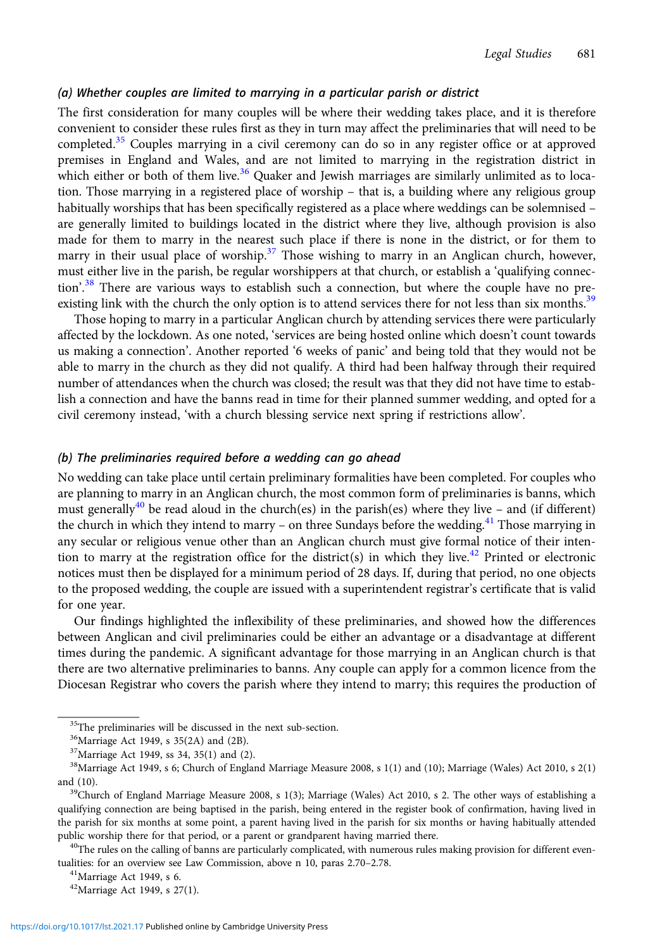# (a) Whether couples are limited to marrying in a particular parish or district

The first consideration for many couples will be where their wedding takes place, and it is therefore convenient to consider these rules first as they in turn may affect the preliminaries that will need to be completed.<sup>35</sup> Couples marrying in a civil ceremony can do so in any register office or at approved premises in England and Wales, and are not limited to marrying in the registration district in which either or both of them live.<sup>36</sup> Quaker and Jewish marriages are similarly unlimited as to location. Those marrying in a registered place of worship – that is, a building where any religious group habitually worships that has been specifically registered as a place where weddings can be solemnised – are generally limited to buildings located in the district where they live, although provision is also made for them to marry in the nearest such place if there is none in the district, or for them to marry in their usual place of worship.<sup>37</sup> Those wishing to marry in an Anglican church, however, must either live in the parish, be regular worshippers at that church, or establish a 'qualifying connection'.<sup>38</sup> There are various ways to establish such a connection, but where the couple have no preexisting link with the church the only option is to attend services there for not less than six months.<sup>39</sup>

Those hoping to marry in a particular Anglican church by attending services there were particularly affected by the lockdown. As one noted, 'services are being hosted online which doesn't count towards us making a connection'. Another reported '6 weeks of panic' and being told that they would not be able to marry in the church as they did not qualify. A third had been halfway through their required number of attendances when the church was closed; the result was that they did not have time to establish a connection and have the banns read in time for their planned summer wedding, and opted for a civil ceremony instead, 'with a church blessing service next spring if restrictions allow'.

#### (b) The preliminaries required before a wedding can go ahead

No wedding can take place until certain preliminary formalities have been completed. For couples who are planning to marry in an Anglican church, the most common form of preliminaries is banns, which must generally<sup>40</sup> be read aloud in the church(es) in the parish(es) where they live – and (if different) the church in which they intend to marry – on three Sundays before the wedding.<sup>41</sup> Those marrying in any secular or religious venue other than an Anglican church must give formal notice of their intention to marry at the registration office for the district(s) in which they live.<sup>42</sup> Printed or electronic notices must then be displayed for a minimum period of 28 days. If, during that period, no one objects to the proposed wedding, the couple are issued with a superintendent registrar's certificate that is valid for one year.

Our findings highlighted the inflexibility of these preliminaries, and showed how the differences between Anglican and civil preliminaries could be either an advantage or a disadvantage at different times during the pandemic. A significant advantage for those marrying in an Anglican church is that there are two alternative preliminaries to banns. Any couple can apply for a common licence from the Diocesan Registrar who covers the parish where they intend to marry; this requires the production of

<sup>&</sup>lt;sup>35</sup>The preliminaries will be discussed in the next sub-section.

<sup>36</sup>Marriage Act 1949, s 35(2A) and (2B).

<sup>37</sup>Marriage Act 1949, ss 34, 35(1) and (2).

<sup>38</sup>Marriage Act 1949, s 6; Church of England Marriage Measure 2008, s 1(1) and (10); Marriage (Wales) Act 2010, s 2(1) and (10).<br><sup>39</sup>Church of England Marriage Measure 2008, s 1(3); Marriage (Wales) Act 2010, s 2. The other ways of establishing a

qualifying connection are being baptised in the parish, being entered in the register book of confirmation, having lived in the parish for six months at some point, a parent having lived in the parish for six months or having habitually attended public worship there for that period, or a parent or grandparent having married there.<br><sup>40</sup>The rules on the calling of banns are particularly complicated, with numerous rules making provision for different even-

tualities: for an overview see Law Commission, above n 10, paras 2.70–2.78.<br><sup>41</sup>Marriage Act 1949, s 6.

<sup>42</sup>Marriage Act 1949, s 27(1).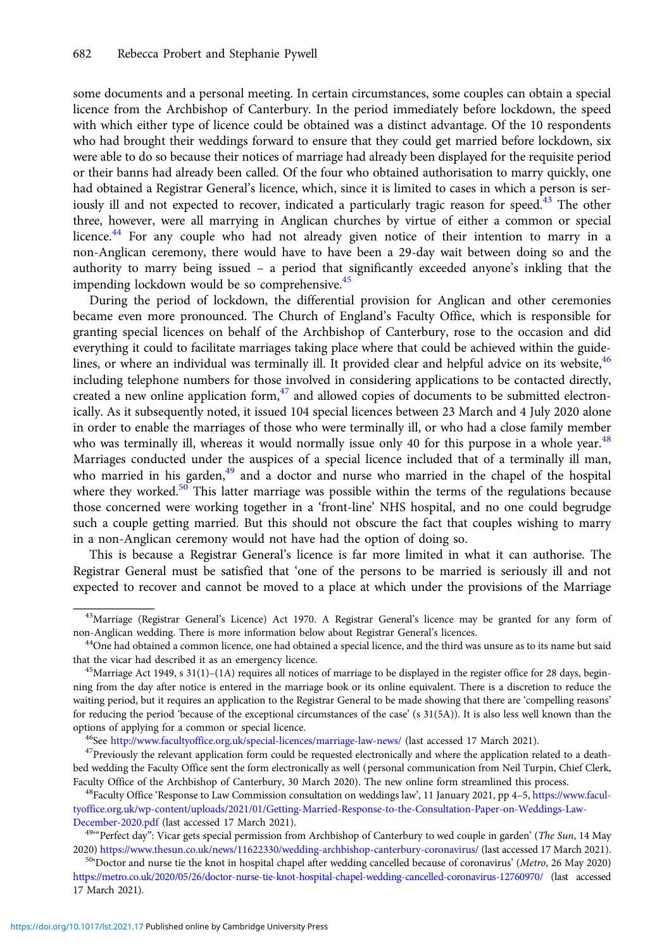some documents and a personal meeting. In certain circumstances, some couples can obtain a special licence from the Archbishop of Canterbury. In the period immediately before lockdown, the speed with which either type of licence could be obtained was a distinct advantage. Of the 10 respondents who had brought their weddings forward to ensure that they could get married before lockdown, six were able to do so because their notices of marriage had already been displayed for the requisite period or their banns had already been called. Of the four who obtained authorisation to marry quickly, one had obtained a Registrar General's licence, which, since it is limited to cases in which a person is seriously ill and not expected to recover, indicated a particularly tragic reason for speed.<sup>43</sup> The other three, however, were all marrying in Anglican churches by virtue of either a common or special licence.<sup>44</sup> For any couple who had not already given notice of their intention to marry in a non-Anglican ceremony, there would have to have been a 29-day wait between doing so and the authority to marry being issued – a period that significantly exceeded anyone's inkling that the impending lockdown would be so comprehensive.<sup>45</sup>

During the period of lockdown, the differential provision for Anglican and other ceremonies became even more pronounced. The Church of England's Faculty Office, which is responsible for granting special licences on behalf of the Archbishop of Canterbury, rose to the occasion and did everything it could to facilitate marriages taking place where that could be achieved within the guidelines, or where an individual was terminally ill. It provided clear and helpful advice on its website,<sup>46</sup> including telephone numbers for those involved in considering applications to be contacted directly, created a new online application form,<sup>47</sup> and allowed copies of documents to be submitted electronically. As it subsequently noted, it issued 104 special licences between 23 March and 4 July 2020 alone in order to enable the marriages of those who were terminally ill, or who had a close family member who was terminally ill, whereas it would normally issue only 40 for this purpose in a whole year.<sup>48</sup> Marriages conducted under the auspices of a special licence included that of a terminally ill man, who married in his garden, $49$  and a doctor and nurse who married in the chapel of the hospital where they worked.<sup>50</sup> This latter marriage was possible within the terms of the regulations because those concerned were working together in a 'front-line' NHS hospital, and no one could begrudge such a couple getting married. But this should not obscure the fact that couples wishing to marry in a non-Anglican ceremony would not have had the option of doing so.

This is because a Registrar General's licence is far more limited in what it can authorise. The Registrar General must be satisfied that 'one of the persons to be married is seriously ill and not expected to recover and cannot be moved to a place at which under the provisions of the Marriage

<sup>&</sup>lt;sup>43</sup>Marriage (Registrar General's Licence) Act 1970. A Registrar General's licence may be granted for any form of non-Anglican wedding. There is more information below about Registrar General's licences.

 $^{44}$ One had obtained a common licence, one had obtained a special licence, and the third was unsure as to its name but said that the vicar had described it as an emergency licence.<br><sup>45</sup>Marriage Act 1949, s 31(1)–(1A) requires all notices of marriage to be displayed in the register office for 28 days, begin-

ning from the day after notice is entered in the marriage book or its online equivalent. There is a discretion to reduce the waiting period, but it requires an application to the Registrar General to be made showing that there are 'compelling reasons' for reducing the period 'because of the exceptional circumstances of the case' (s 31(5A)). It is also less well known than the

options of applying for a common or special licence.<br><sup>46</sup>See <http://www.facultyoffice.org.uk/special-licences/marriage-law-news/> (last accessed 17 March 2021).<br><sup>47</sup>Previously the relevant application form could be requeste bed wedding the Faculty Office sent the form electronically as well (personal communication from Neil Turpin, Chief Clerk, Faculty Office of the Archbishop of Canterbury, 30 March 2020). The new online form streamlined this process.<br><sup>48</sup>Faculty Office 'Response to Law Commission consultation on weddings law', 11 January 2021, pp 4–5, https://w

[tyoffice.org.uk/wp-content/uploads/2021/01/Getting-Married-Response-to-the-Consultation-Paper-on-Weddings-Law-](https://www.facultyoffice.org.uk/wp-content/uploads/2021/01/Getting-Married-Response-to-the-Consultation-Paper-on-Weddings-Law-December-2020.pdf)

[December-2020.pdf](https://www.facultyoffice.org.uk/wp-content/uploads/2021/01/Getting-Married-Response-to-the-Consultation-Paper-on-Weddings-Law-December-2020.pdf) (last accessed 17 March 2021).<br><sup>49'</sup>"Perfect day": Vicar gets special permission from Archbishop of Canterbury to wed couple in garden' (*The Sun*, 14 May

<sup>2020)</sup> <https://www.thesun.co.uk/news/11622330/wedding-archbishop-canterbury-coronavirus/> (last accessed 17 March 2021).<br><sup>50</sup>CDoctor and nurse tie the knot in hospital chapel after wedding cancelled because of coronavirus' ( <https://metro.co.uk/2020/05/26/doctor-nurse-tie-knot-hospital-chapel-wedding-cancelled-coronavirus-12760970/> (last accessed 17 March 2021).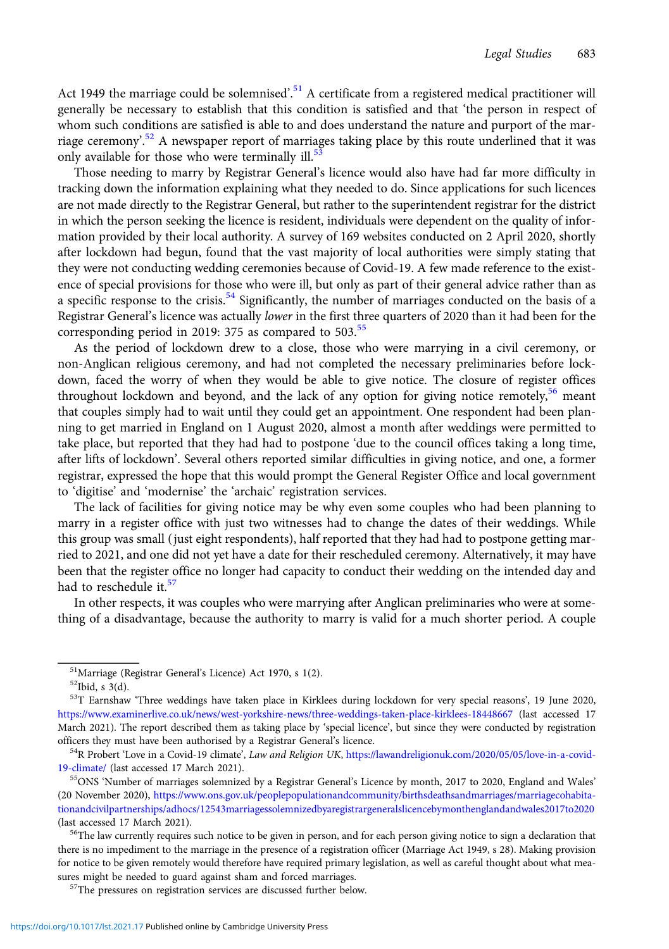Act 1949 the marriage could be solemnised'.<sup>51</sup> A certificate from a registered medical practitioner will generally be necessary to establish that this condition is satisfied and that 'the person in respect of whom such conditions are satisfied is able to and does understand the nature and purport of the marriage ceremony'.<sup>52</sup> A newspaper report of marriages taking place by this route underlined that it was only available for those who were terminally ill.<sup>53</sup>

Those needing to marry by Registrar General's licence would also have had far more difficulty in tracking down the information explaining what they needed to do. Since applications for such licences are not made directly to the Registrar General, but rather to the superintendent registrar for the district in which the person seeking the licence is resident, individuals were dependent on the quality of information provided by their local authority. A survey of 169 websites conducted on 2 April 2020, shortly after lockdown had begun, found that the vast majority of local authorities were simply stating that they were not conducting wedding ceremonies because of Covid-19. A few made reference to the existence of special provisions for those who were ill, but only as part of their general advice rather than as a specific response to the crisis.<sup>54</sup> Significantly, the number of marriages conducted on the basis of a Registrar General's licence was actually lower in the first three quarters of 2020 than it had been for the corresponding period in 2019: 375 as compared to 503.<sup>55</sup>

As the period of lockdown drew to a close, those who were marrying in a civil ceremony, or non-Anglican religious ceremony, and had not completed the necessary preliminaries before lockdown, faced the worry of when they would be able to give notice. The closure of register offices throughout lockdown and beyond, and the lack of any option for giving notice remotely, $56$  meant that couples simply had to wait until they could get an appointment. One respondent had been planning to get married in England on 1 August 2020, almost a month after weddings were permitted to take place, but reported that they had had to postpone 'due to the council offices taking a long time, after lifts of lockdown'. Several others reported similar difficulties in giving notice, and one, a former registrar, expressed the hope that this would prompt the General Register Office and local government to 'digitise' and 'modernise' the 'archaic' registration services.

The lack of facilities for giving notice may be why even some couples who had been planning to marry in a register office with just two witnesses had to change the dates of their weddings. While this group was small (just eight respondents), half reported that they had had to postpone getting married to 2021, and one did not yet have a date for their rescheduled ceremony. Alternatively, it may have been that the register office no longer had capacity to conduct their wedding on the intended day and had to reschedule it.<sup>57</sup>

In other respects, it was couples who were marrying after Anglican preliminaries who were at something of a disadvantage, because the authority to marry is valid for a much shorter period. A couple

<sup>&</sup>lt;sup>51</sup>Marriage (Registrar General's Licence) Act 1970, s 1(2).  $52$ Ibid, s 3(d).

<sup>&</sup>lt;sup>53</sup>T Earnshaw 'Three weddings have taken place in Kirklees during lockdown for very special reasons', 19 June 2020, <https://www.examinerlive.co.uk/news/west-yorkshire-news/three-weddings-taken-place-kirklees-18448667> (last accessed 17 March 2021). The report described them as taking place by 'special licence', but since they were conducted by registration officers they must have been authorised by a Registrar General's licence.<br><sup>54</sup>R Probert 'Love in a Covid-19 climate', *Law and Religion UK*, [https://lawandreligionuk.com/2020/05/05/love-in-a-covid-](https://lawandreligionuk.com/2020/05/05/love-in-a-covid-19-climate/)

[<sup>19-</sup>climate/](https://lawandreligionuk.com/2020/05/05/love-in-a-covid-19-climate/) (last accessed 17 March 2021).<br><sup>55</sup>ONS 'Number of marriages solemnized by a Registrar General's Licence by month, 2017 to 2020, England and Wales'

<sup>(20</sup> November 2020), [https://www.ons.gov.uk/peoplepopulationandcommunity/birthsdeathsandmarriages/marriagecohabita](https://www.ons.gov.uk/peoplepopulationandcommunity/birthsdeathsandmarriages/marriagecohabitationandcivilpartnerships/adhocs/12543marriagessolemnizedbyaregistrargeneralslicencebymonthenglandandwales2017to2020)[tionandcivilpartnerships/adhocs/12543marriagessolemnizedbyaregistrargeneralslicencebymonthenglandandwales2017to2020](https://www.ons.gov.uk/peoplepopulationandcommunity/birthsdeathsandmarriages/marriagecohabitationandcivilpartnerships/adhocs/12543marriagessolemnizedbyaregistrargeneralslicencebymonthenglandandwales2017to2020) (last accessed 17 March 2021).<br><sup>56</sup>The law currently requires such notice to be given in person, and for each person giving notice to sign a declaration that

there is no impediment to the marriage in the presence of a registration officer (Marriage Act 1949, s 28). Making provision for notice to be given remotely would therefore have required primary legislation, as well as careful thought about what measures might be needed to guard against sham and forced marriages. 57The pressures on registration services are discussed further below.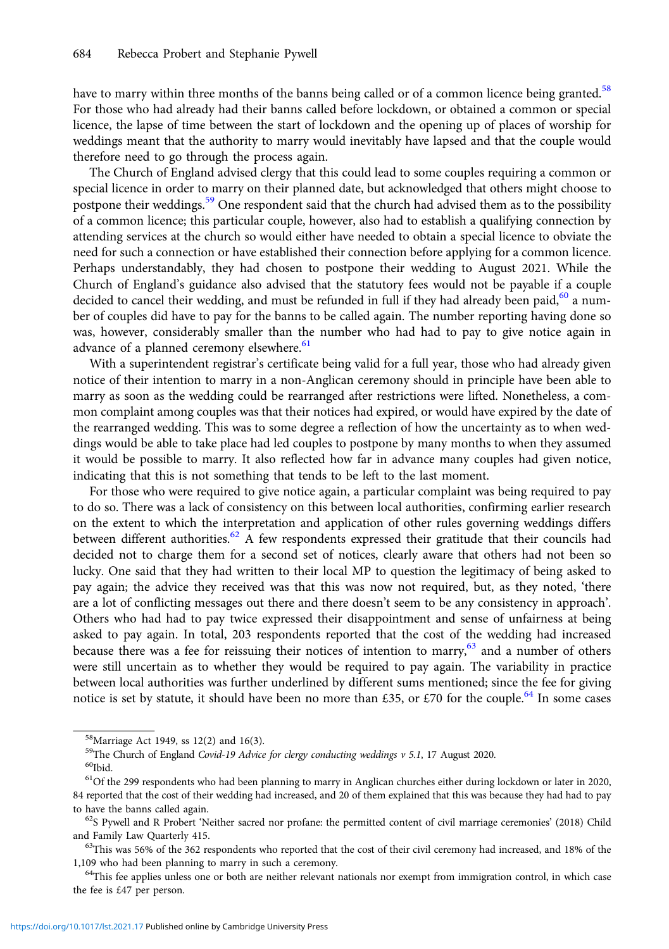have to marry within three months of the banns being called or of a common licence being granted.<sup>58</sup> For those who had already had their banns called before lockdown, or obtained a common or special licence, the lapse of time between the start of lockdown and the opening up of places of worship for weddings meant that the authority to marry would inevitably have lapsed and that the couple would therefore need to go through the process again.

The Church of England advised clergy that this could lead to some couples requiring a common or special licence in order to marry on their planned date, but acknowledged that others might choose to postpone their weddings.<sup>59</sup> One respondent said that the church had advised them as to the possibility of a common licence; this particular couple, however, also had to establish a qualifying connection by attending services at the church so would either have needed to obtain a special licence to obviate the need for such a connection or have established their connection before applying for a common licence. Perhaps understandably, they had chosen to postpone their wedding to August 2021. While the Church of England's guidance also advised that the statutory fees would not be payable if a couple decided to cancel their wedding, and must be refunded in full if they had already been paid, $60$  a number of couples did have to pay for the banns to be called again. The number reporting having done so was, however, considerably smaller than the number who had had to pay to give notice again in advance of a planned ceremony elsewhere.<sup>61</sup>

With a superintendent registrar's certificate being valid for a full year, those who had already given notice of their intention to marry in a non-Anglican ceremony should in principle have been able to marry as soon as the wedding could be rearranged after restrictions were lifted. Nonetheless, a common complaint among couples was that their notices had expired, or would have expired by the date of the rearranged wedding. This was to some degree a reflection of how the uncertainty as to when weddings would be able to take place had led couples to postpone by many months to when they assumed it would be possible to marry. It also reflected how far in advance many couples had given notice, indicating that this is not something that tends to be left to the last moment.

For those who were required to give notice again, a particular complaint was being required to pay to do so. There was a lack of consistency on this between local authorities, confirming earlier research on the extent to which the interpretation and application of other rules governing weddings differs between different authorities.<sup>62</sup> A few respondents expressed their gratitude that their councils had decided not to charge them for a second set of notices, clearly aware that others had not been so lucky. One said that they had written to their local MP to question the legitimacy of being asked to pay again; the advice they received was that this was now not required, but, as they noted, 'there are a lot of conflicting messages out there and there doesn't seem to be any consistency in approach'. Others who had had to pay twice expressed their disappointment and sense of unfairness at being asked to pay again. In total, 203 respondents reported that the cost of the wedding had increased because there was a fee for reissuing their notices of intention to marry,<sup>63</sup> and a number of others were still uncertain as to whether they would be required to pay again. The variability in practice between local authorities was further underlined by different sums mentioned; since the fee for giving notice is set by statute, it should have been no more than £35, or £70 for the couple.<sup>64</sup> In some cases

<sup>58</sup>Marriage Act 1949, ss 12(2) and 16(3).

<sup>&</sup>lt;sup>59</sup>The Church of England Covid-19 Advice for clergy conducting weddings v 5.1, 17 August 2020.<br><sup>60</sup>Ibid.

 $61$ Of the 299 respondents who had been planning to marry in Anglican churches either during lockdown or later in 2020, 84 reported that the cost of their wedding had increased, and 20 of them explained that this was because they had had to pay to have the banns called again.<br><sup>62</sup>S Pywell and R Probert 'Neither sacred nor profane: the permitted content of civil marriage ceremonies' (2018) Child

and Family Law Quarterly 415.<br><sup>63</sup>This was 56% of the 362 respondents who reported that the cost of their civil ceremony had increased, and 18% of the

<sup>1,109</sup> who had been planning to marry in such a ceremony.<br><sup>64</sup>This fee applies unless one or both are neither relevant nationals nor exempt from immigration control, in which case

the fee is £47 per person.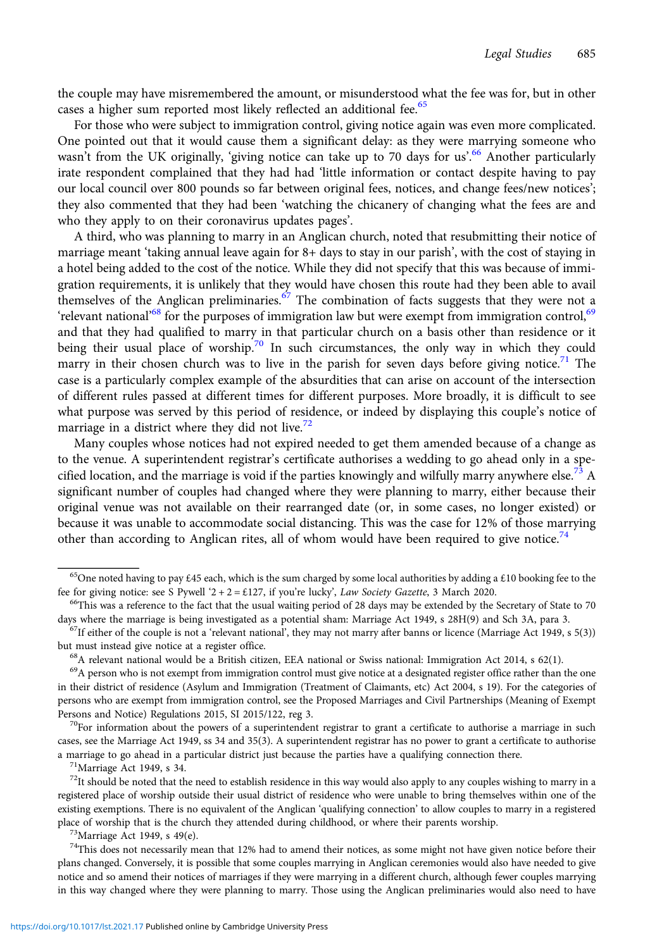the couple may have misremembered the amount, or misunderstood what the fee was for, but in other cases a higher sum reported most likely reflected an additional fee.<sup>65</sup>

For those who were subject to immigration control, giving notice again was even more complicated. One pointed out that it would cause them a significant delay: as they were marrying someone who wasn't from the UK originally, 'giving notice can take up to 70 days for us'.<sup>66</sup> Another particularly irate respondent complained that they had had 'little information or contact despite having to pay our local council over 800 pounds so far between original fees, notices, and change fees/new notices'; they also commented that they had been 'watching the chicanery of changing what the fees are and who they apply to on their coronavirus updates pages'.

A third, who was planning to marry in an Anglican church, noted that resubmitting their notice of marriage meant 'taking annual leave again for 8+ days to stay in our parish', with the cost of staying in a hotel being added to the cost of the notice. While they did not specify that this was because of immigration requirements, it is unlikely that they would have chosen this route had they been able to avail themselves of the Anglican preliminaries.<sup>67</sup> The combination of facts suggests that they were not a 'relevant national'<sup>68</sup> for the purposes of immigration law but were exempt from immigration control,<sup>69</sup> and that they had qualified to marry in that particular church on a basis other than residence or it being their usual place of worship.<sup>70</sup> In such circumstances, the only way in which they could marry in their chosen church was to live in the parish for seven days before giving notice.<sup>71</sup> The case is a particularly complex example of the absurdities that can arise on account of the intersection of different rules passed at different times for different purposes. More broadly, it is difficult to see what purpose was served by this period of residence, or indeed by displaying this couple's notice of marriage in a district where they did not live. $72$ 

Many couples whose notices had not expired needed to get them amended because of a change as to the venue. A superintendent registrar's certificate authorises a wedding to go ahead only in a specified location, and the marriage is void if the parties knowingly and wilfully marry anywhere else.<sup>73</sup> A significant number of couples had changed where they were planning to marry, either because their original venue was not available on their rearranged date (or, in some cases, no longer existed) or because it was unable to accommodate social distancing. This was the case for 12% of those marrying other than according to Anglican rites, all of whom would have been required to give notice.<sup>74</sup>

cases, see the Marriage Act 1949, ss 34 and 35(3). A superintendent registrar has no power to grant a certificate to authorise a marriage to go ahead in a particular district just because the parties have a qualifying connection there.  $71$ Marriage Act 1949, s 34.

<sup>&</sup>lt;sup>65</sup>One noted having to pay £45 each, which is the sum charged by some local authorities by adding a £10 booking fee to the fee for giving notice: see S Pywell '2 + 2 = £127, if you're lucky', *Law Society Gazette*, 3 Mar

<sup>&</sup>lt;sup>66</sup>This was a reference to the fact that the usual waiting period of 28 days may be extended by the Secretary of State to 70

days where the marriage is being investigated as a potential sham: Marriage Act 1949, s 28H(9) and Sch 3A, para 3.<br><sup>67</sup>If either of the couple is not a 'relevant national', they may not marry after banns or licence (Marria

 $^{68}$ A relevant national would be a British citizen, EEA national or Swiss national: Immigration Act 2014, s 62(1).

<sup>&</sup>lt;sup>69</sup>A person who is not exempt from immigration control must give notice at a designated register office rather than the one in their district of residence (Asylum and Immigration (Treatment of Claimants, etc) Act 2004, s 19). For the categories of persons who are exempt from immigration control, see the Proposed Marriages and Civil Partnerships (Meaning of Exempt Persons and Notice) Regulations 2015, SI 2015/122, reg 3.<br><sup>70</sup>For information about the powers of a superintendent registrar to grant a certificate to authorise a marriage in such

 $72$ It should be noted that the need to establish residence in this way would also apply to any couples wishing to marry in a registered place of worship outside their usual district of residence who were unable to bring themselves within one of the existing exemptions. There is no equivalent of the Anglican 'qualifying connection' to allow couples to marry in a registered place of worship that is the church they attended during childhood, or where their parents worship. <sup>73</sup>Marriage Act 1949, s 49(e).

 $74$ This does not necessarily mean that 12% had to amend their notices, as some might not have given notice before their plans changed. Conversely, it is possible that some couples marrying in Anglican ceremonies would also have needed to give notice and so amend their notices of marriages if they were marrying in a different church, although fewer couples marrying in this way changed where they were planning to marry. Those using the Anglican preliminaries would also need to have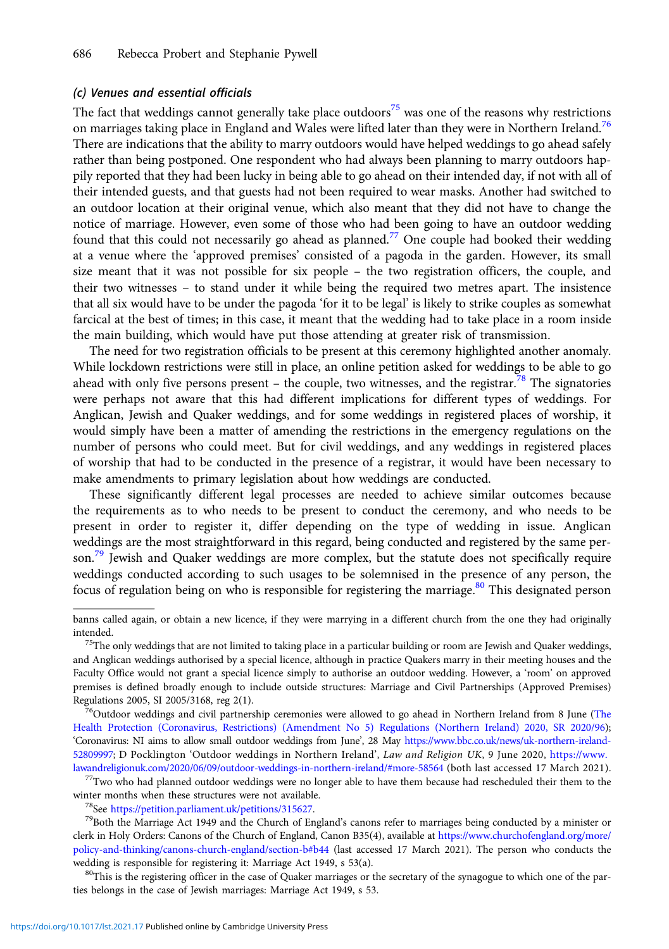#### (c) Venues and essential officials

The fact that weddings cannot generally take place outdoors<sup>75</sup> was one of the reasons why restrictions on marriages taking place in England and Wales were lifted later than they were in Northern Ireland.<sup>76</sup> There are indications that the ability to marry outdoors would have helped weddings to go ahead safely rather than being postponed. One respondent who had always been planning to marry outdoors happily reported that they had been lucky in being able to go ahead on their intended day, if not with all of their intended guests, and that guests had not been required to wear masks. Another had switched to an outdoor location at their original venue, which also meant that they did not have to change the notice of marriage. However, even some of those who had been going to have an outdoor wedding found that this could not necessarily go ahead as planned.<sup>77</sup> One couple had booked their wedding at a venue where the 'approved premises' consisted of a pagoda in the garden. However, its small size meant that it was not possible for six people – the two registration officers, the couple, and their two witnesses – to stand under it while being the required two metres apart. The insistence that all six would have to be under the pagoda 'for it to be legal' is likely to strike couples as somewhat farcical at the best of times; in this case, it meant that the wedding had to take place in a room inside the main building, which would have put those attending at greater risk of transmission.

The need for two registration officials to be present at this ceremony highlighted another anomaly. While lockdown restrictions were still in place, an online petition asked for weddings to be able to go ahead with only five persons present – the couple, two witnesses, and the registrar.<sup>78</sup> The signatories were perhaps not aware that this had different implications for different types of weddings. For Anglican, Jewish and Quaker weddings, and for some weddings in registered places of worship, it would simply have been a matter of amending the restrictions in the emergency regulations on the number of persons who could meet. But for civil weddings, and any weddings in registered places of worship that had to be conducted in the presence of a registrar, it would have been necessary to make amendments to primary legislation about how weddings are conducted.

These significantly different legal processes are needed to achieve similar outcomes because the requirements as to who needs to be present to conduct the ceremony, and who needs to be present in order to register it, differ depending on the type of wedding in issue. Anglican weddings are the most straightforward in this regard, being conducted and registered by the same person.<sup>79</sup> Jewish and Quaker weddings are more complex, but the statute does not specifically require weddings conducted according to such usages to be solemnised in the presence of any person, the focus of regulation being on who is responsible for registering the marriage.<sup>80</sup> This designated person

[Health Protection \(Coronavirus, Restrictions\) \(Amendment No 5\) Regulations \(Northern Ireland\) 2020, SR 2020/96](http://www.legislation.gov.uk/nisr/2020/96/contents/made)); 'Coronavirus: NI aims to allow small outdoor weddings from June', 28 May [https://www.bbc.co.uk/news/uk-northern-ireland-](https://www.bbc.co.uk/news/uk-northern-ireland-52809997)[52809997](https://www.bbc.co.uk/news/uk-northern-ireland-52809997); D Pocklington 'Outdoor weddings in Northern Ireland', Law and Religion UK, 9 June 2020, [https://www.](https://www.lawandreligionuk.com/2020/06/09/outdoor-weddings-in-northern-ireland/#more-58564)

[lawandreligionuk.com/2020/06/09/outdoor-weddings-in-northern-ireland/#more-58564](https://www.lawandreligionuk.com/2020/06/09/outdoor-weddings-in-northern-ireland/#more-58564) (both last accessed 17 March 2021).<br><sup>77</sup>Two who had planned outdoor weddings were no longer able to have them because had rescheduled their t

winter months when these structures were not available.<br><sup>78</sup>See [https://petition.parliament.uk/petitions/315627.](https://petition.parliament.uk/petitions/315627)<br><sup>79</sup>Both the Marriage Act 1949 and the Church of England's canons refer to marriages being conducted by a min clerk in Holy Orders: Canons of the Church of England, Canon B35(4), available at [https://www.churchofengland.org/more/](https://www.churchofengland.org/more/policy-and-thinking/canons-church-england/section-b#b44) [policy-and-thinking/canons-church-england/section-b#b44](https://www.churchofengland.org/more/policy-and-thinking/canons-church-england/section-b#b44) (last accessed 17 March 2021). The person who conducts the wedding is responsible for registering it: Marriage Act 1949, s 53(a). 80This is the registering officer in the case of Quaker marriages or the secretary of the synagogue to which one of the par-

ties belongs in the case of Jewish marriages: Marriage Act 1949, s 53.

banns called again, or obtain a new licence, if they were marrying in a different church from the one they had originally

 $<sup>75</sup>$ The only weddings that are not limited to taking place in a particular building or room are Jewish and Quaker weddings,</sup> and Anglican weddings authorised by a special licence, although in practice Quakers marry in their meeting houses and the Faculty Office would not grant a special licence simply to authorise an outdoor wedding. However, a 'room' on approved premises is defined broadly enough to include outside structures: Marriage and Civil Partnerships (Approved Premises) Regulations 2005, SI 2005/3168, reg 2(1).<br><sup>76</sup>Outdoor weddings and civil partnership ceremonies were allowed to go ahead in Northern Ireland from 8 June [\(The](http://www.legislation.gov.uk/nisr/2020/96/contents/made)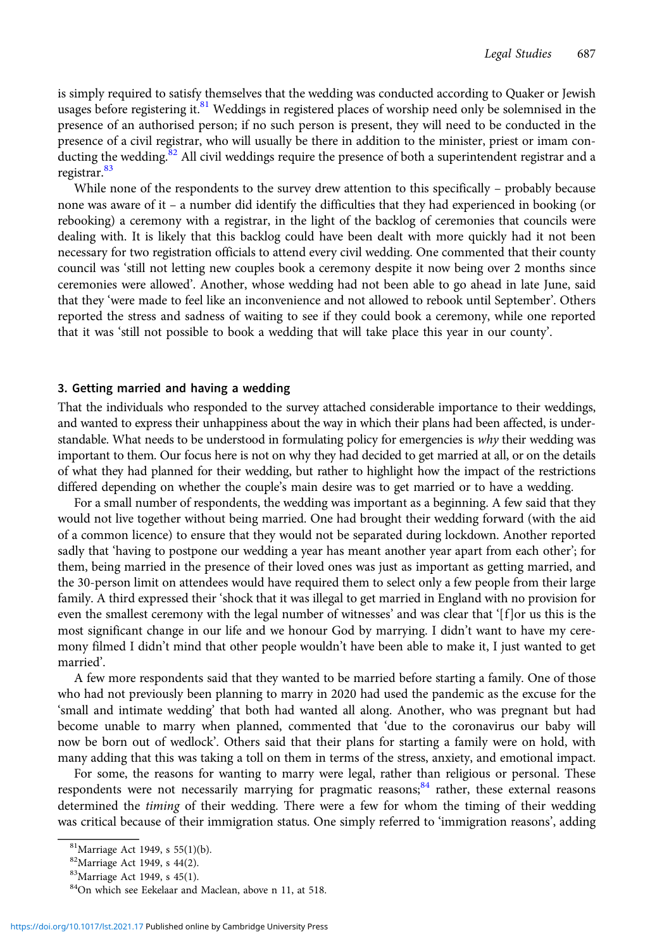is simply required to satisfy themselves that the wedding was conducted according to Quaker or Jewish usages before registering it.<sup>81</sup> Weddings in registered places of worship need only be solemnised in the presence of an authorised person; if no such person is present, they will need to be conducted in the presence of a civil registrar, who will usually be there in addition to the minister, priest or imam conducting the wedding.<sup>82</sup> All civil weddings require the presence of both a superintendent registrar and a registrar.<sup>83</sup>

While none of the respondents to the survey drew attention to this specifically – probably because none was aware of it – a number did identify the difficulties that they had experienced in booking (or rebooking) a ceremony with a registrar, in the light of the backlog of ceremonies that councils were dealing with. It is likely that this backlog could have been dealt with more quickly had it not been necessary for two registration officials to attend every civil wedding. One commented that their county council was 'still not letting new couples book a ceremony despite it now being over 2 months since ceremonies were allowed'. Another, whose wedding had not been able to go ahead in late June, said that they 'were made to feel like an inconvenience and not allowed to rebook until September'. Others reported the stress and sadness of waiting to see if they could book a ceremony, while one reported that it was 'still not possible to book a wedding that will take place this year in our county'.

#### 3. Getting married and having a wedding

That the individuals who responded to the survey attached considerable importance to their weddings, and wanted to express their unhappiness about the way in which their plans had been affected, is understandable. What needs to be understood in formulating policy for emergencies is *why* their wedding was important to them. Our focus here is not on why they had decided to get married at all, or on the details of what they had planned for their wedding, but rather to highlight how the impact of the restrictions differed depending on whether the couple's main desire was to get married or to have a wedding.

For a small number of respondents, the wedding was important as a beginning. A few said that they would not live together without being married. One had brought their wedding forward (with the aid of a common licence) to ensure that they would not be separated during lockdown. Another reported sadly that 'having to postpone our wedding a year has meant another year apart from each other'; for them, being married in the presence of their loved ones was just as important as getting married, and the 30-person limit on attendees would have required them to select only a few people from their large family. A third expressed their 'shock that it was illegal to get married in England with no provision for even the smallest ceremony with the legal number of witnesses' and was clear that '[f ]or us this is the most significant change in our life and we honour God by marrying. I didn't want to have my ceremony filmed I didn't mind that other people wouldn't have been able to make it, I just wanted to get married'.

A few more respondents said that they wanted to be married before starting a family. One of those who had not previously been planning to marry in 2020 had used the pandemic as the excuse for the 'small and intimate wedding' that both had wanted all along. Another, who was pregnant but had become unable to marry when planned, commented that 'due to the coronavirus our baby will now be born out of wedlock'. Others said that their plans for starting a family were on hold, with many adding that this was taking a toll on them in terms of the stress, anxiety, and emotional impact.

For some, the reasons for wanting to marry were legal, rather than religious or personal. These respondents were not necessarily marrying for pragmatic reasons;<sup>84</sup> rather, these external reasons determined the timing of their wedding. There were a few for whom the timing of their wedding was critical because of their immigration status. One simply referred to 'immigration reasons', adding

83Marriage Act 1949, s 45(1).

<sup>81</sup>Marriage Act 1949, s 55(1)(b).

<sup>82</sup>Marriage Act 1949, s 44(2).

<sup>84</sup>On which see Eekelaar and Maclean, above n 11, at 518.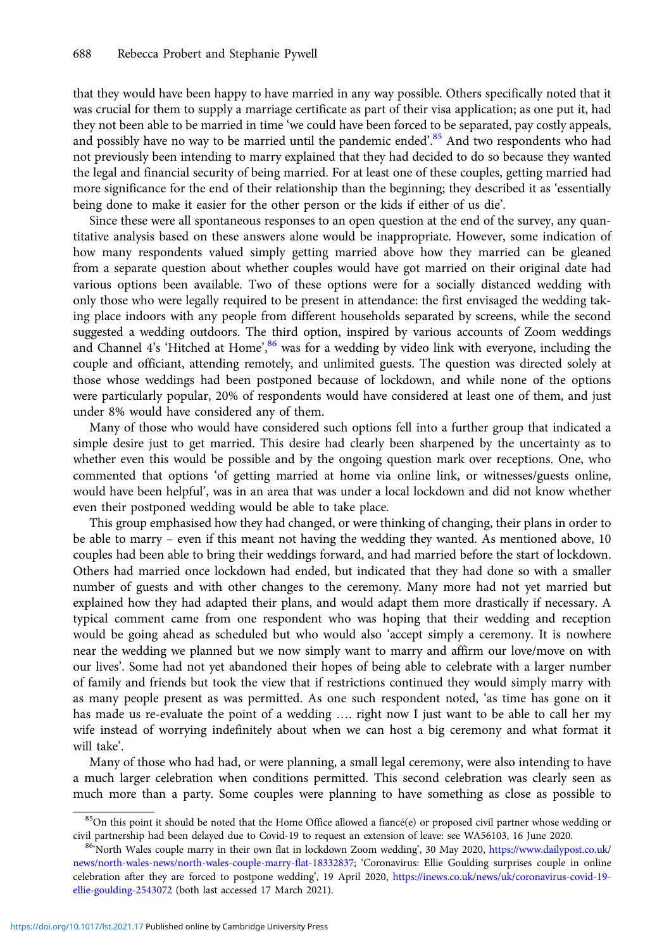that they would have been happy to have married in any way possible. Others specifically noted that it was crucial for them to supply a marriage certificate as part of their visa application; as one put it, had they not been able to be married in time 'we could have been forced to be separated, pay costly appeals, and possibly have no way to be married until the pandemic ended'.<sup>85</sup> And two respondents who had not previously been intending to marry explained that they had decided to do so because they wanted the legal and financial security of being married. For at least one of these couples, getting married had more significance for the end of their relationship than the beginning; they described it as 'essentially being done to make it easier for the other person or the kids if either of us die'.

Since these were all spontaneous responses to an open question at the end of the survey, any quantitative analysis based on these answers alone would be inappropriate. However, some indication of how many respondents valued simply getting married above how they married can be gleaned from a separate question about whether couples would have got married on their original date had various options been available. Two of these options were for a socially distanced wedding with only those who were legally required to be present in attendance: the first envisaged the wedding taking place indoors with any people from different households separated by screens, while the second suggested a wedding outdoors. The third option, inspired by various accounts of Zoom weddings and Channel 4's 'Hitched at Home', 86 was for a wedding by video link with everyone, including the couple and officiant, attending remotely, and unlimited guests. The question was directed solely at those whose weddings had been postponed because of lockdown, and while none of the options were particularly popular, 20% of respondents would have considered at least one of them, and just under 8% would have considered any of them.

Many of those who would have considered such options fell into a further group that indicated a simple desire just to get married. This desire had clearly been sharpened by the uncertainty as to whether even this would be possible and by the ongoing question mark over receptions. One, who commented that options 'of getting married at home via online link, or witnesses/guests online, would have been helpful', was in an area that was under a local lockdown and did not know whether even their postponed wedding would be able to take place.

This group emphasised how they had changed, or were thinking of changing, their plans in order to be able to marry – even if this meant not having the wedding they wanted. As mentioned above, 10 couples had been able to bring their weddings forward, and had married before the start of lockdown. Others had married once lockdown had ended, but indicated that they had done so with a smaller number of guests and with other changes to the ceremony. Many more had not yet married but explained how they had adapted their plans, and would adapt them more drastically if necessary. A typical comment came from one respondent who was hoping that their wedding and reception would be going ahead as scheduled but who would also 'accept simply a ceremony. It is nowhere near the wedding we planned but we now simply want to marry and affirm our love/move on with our lives'. Some had not yet abandoned their hopes of being able to celebrate with a larger number of family and friends but took the view that if restrictions continued they would simply marry with as many people present as was permitted. As one such respondent noted, 'as time has gone on it has made us re-evaluate the point of a wedding .... right now I just want to be able to call her my wife instead of worrying indefinitely about when we can host a big ceremony and what format it will take'.

Many of those who had had, or were planning, a small legal ceremony, were also intending to have a much larger celebration when conditions permitted. This second celebration was clearly seen as much more than a party. Some couples were planning to have something as close as possible to

<sup>&</sup>lt;sup>85</sup>On this point it should be noted that the Home Office allowed a fiancé(e) or proposed civil partner whose wedding or civil partnership had been delayed due to Covid-19 to request an extension of leave: see WA56103, 16 June 2020.<br><sup>86</sup>North Wales couple marry in their own flat in lockdown Zoom wedding', 30 May 2020, https://www.dailypost.c

[news/north-wales-news/north-wales-couple-marry-flat-18332837;](https://www.dailypost.co.uk/news/north-wales-news/north-wales-couple-marry-flat-18332837) 'Coronavirus: Ellie Goulding surprises couple in online celebration after they are forced to postpone wedding', 19 April 2020, [https://inews.co.uk/news/uk/coronavirus-covid-19](https://inews.co.uk/news/uk/coronavirus-covid-19-ellie-goulding-2543072) [ellie-goulding-2543072](https://inews.co.uk/news/uk/coronavirus-covid-19-ellie-goulding-2543072) (both last accessed 17 March 2021).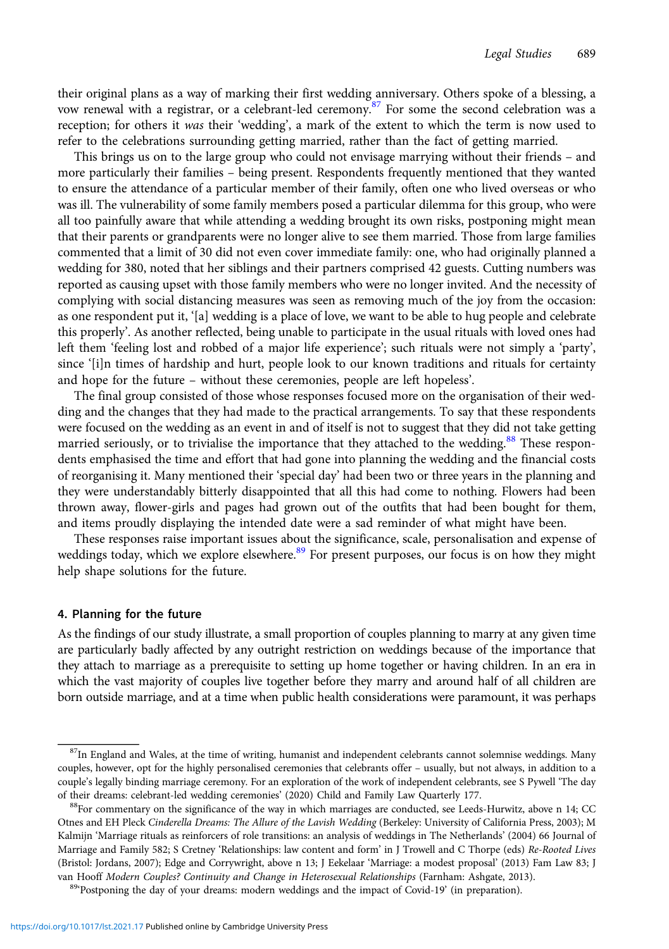their original plans as a way of marking their first wedding anniversary. Others spoke of a blessing, a vow renewal with a registrar, or a celebrant-led ceremony.<sup>87</sup> For some the second celebration was a reception; for others it was their 'wedding', a mark of the extent to which the term is now used to refer to the celebrations surrounding getting married, rather than the fact of getting married.

This brings us on to the large group who could not envisage marrying without their friends – and more particularly their families – being present. Respondents frequently mentioned that they wanted to ensure the attendance of a particular member of their family, often one who lived overseas or who was ill. The vulnerability of some family members posed a particular dilemma for this group, who were all too painfully aware that while attending a wedding brought its own risks, postponing might mean that their parents or grandparents were no longer alive to see them married. Those from large families commented that a limit of 30 did not even cover immediate family: one, who had originally planned a wedding for 380, noted that her siblings and their partners comprised 42 guests. Cutting numbers was reported as causing upset with those family members who were no longer invited. And the necessity of complying with social distancing measures was seen as removing much of the joy from the occasion: as one respondent put it, '[a] wedding is a place of love, we want to be able to hug people and celebrate this properly'. As another reflected, being unable to participate in the usual rituals with loved ones had left them 'feeling lost and robbed of a major life experience'; such rituals were not simply a 'party', since '[i]n times of hardship and hurt, people look to our known traditions and rituals for certainty and hope for the future – without these ceremonies, people are left hopeless'.

The final group consisted of those whose responses focused more on the organisation of their wedding and the changes that they had made to the practical arrangements. To say that these respondents were focused on the wedding as an event in and of itself is not to suggest that they did not take getting married seriously, or to trivialise the importance that they attached to the wedding.<sup>88</sup> These respondents emphasised the time and effort that had gone into planning the wedding and the financial costs of reorganising it. Many mentioned their 'special day' had been two or three years in the planning and they were understandably bitterly disappointed that all this had come to nothing. Flowers had been thrown away, flower-girls and pages had grown out of the outfits that had been bought for them, and items proudly displaying the intended date were a sad reminder of what might have been.

These responses raise important issues about the significance, scale, personalisation and expense of weddings today, which we explore elsewhere.<sup>89</sup> For present purposes, our focus is on how they might help shape solutions for the future.

#### 4. Planning for the future

As the findings of our study illustrate, a small proportion of couples planning to marry at any given time are particularly badly affected by any outright restriction on weddings because of the importance that they attach to marriage as a prerequisite to setting up home together or having children. In an era in which the vast majority of couples live together before they marry and around half of all children are born outside marriage, and at a time when public health considerations were paramount, it was perhaps

 $87$ In England and Wales, at the time of writing, humanist and independent celebrants cannot solemnise weddings. Many couples, however, opt for the highly personalised ceremonies that celebrants offer – usually, but not always, in addition to a couple's legally binding marriage ceremony. For an exploration of the work of independent celebrants, see S Pywell 'The day of their dreams: celebrant-led wedding ceremonies' (2020) Child and Family Law Quarterly 177.<br><sup>88</sup>For commentary on the significance of the way in which marriages are conducted, see Leeds-Hurwitz, above n 14; CC

Otnes and EH Pleck Cinderella Dreams: The Allure of the Lavish Wedding (Berkeley: University of California Press, 2003); M Kalmijn 'Marriage rituals as reinforcers of role transitions: an analysis of weddings in The Netherlands' (2004) 66 Journal of Marriage and Family 582; S Cretney 'Relationships: law content and form' in J Trowell and C Thorpe (eds) Re-Rooted Lives (Bristol: Jordans, 2007); Edge and Corrywright, above n 13; J Eekelaar 'Marriage: a modest proposal' (2013) Fam Law 83; J van Hooff Modern Couples? Continuity and Change in Heterosexual Relationships (Farnham: Ashgate, 2013). <sup>89</sup>'Postponing the day of your dreams: modern weddings and the impact of Covid-19' (in preparation).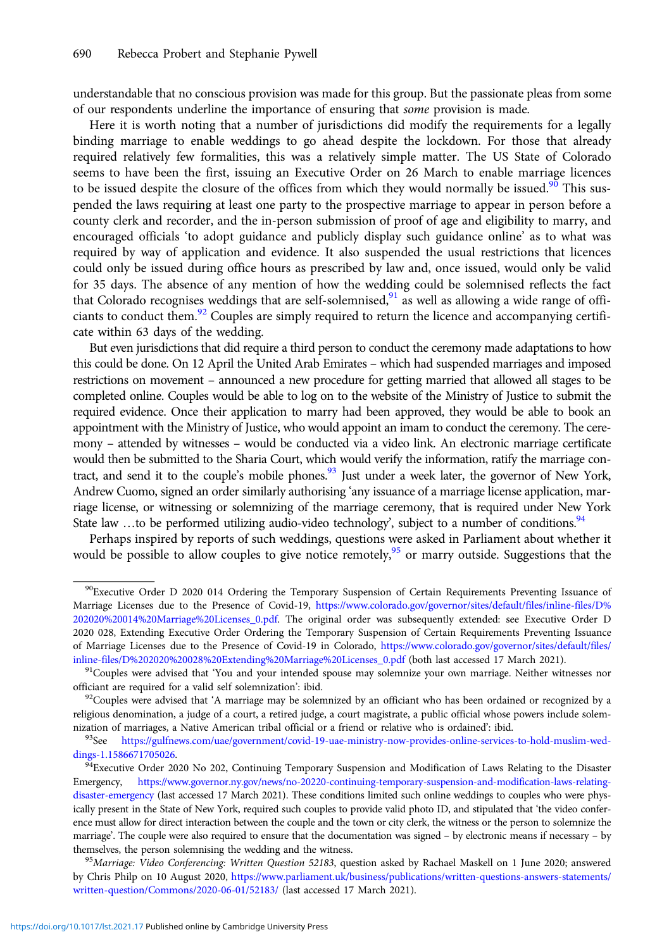understandable that no conscious provision was made for this group. But the passionate pleas from some of our respondents underline the importance of ensuring that some provision is made.

Here it is worth noting that a number of jurisdictions did modify the requirements for a legally binding marriage to enable weddings to go ahead despite the lockdown. For those that already required relatively few formalities, this was a relatively simple matter. The US State of Colorado seems to have been the first, issuing an Executive Order on 26 March to enable marriage licences to be issued despite the closure of the offices from which they would normally be issued.<sup>90</sup> This suspended the laws requiring at least one party to the prospective marriage to appear in person before a county clerk and recorder, and the in-person submission of proof of age and eligibility to marry, and encouraged officials 'to adopt guidance and publicly display such guidance online' as to what was required by way of application and evidence. It also suspended the usual restrictions that licences could only be issued during office hours as prescribed by law and, once issued, would only be valid for 35 days. The absence of any mention of how the wedding could be solemnised reflects the fact that Colorado recognises weddings that are self-solemnised, $91$  as well as allowing a wide range of officiants to conduct them.<sup>92</sup> Couples are simply required to return the licence and accompanying certificate within 63 days of the wedding.

But even jurisdictions that did require a third person to conduct the ceremony made adaptations to how this could be done. On 12 April the United Arab Emirates – which had suspended marriages and imposed restrictions on movement – announced a new procedure for getting married that allowed all stages to be completed online. Couples would be able to log on to the website of the Ministry of Justice to submit the required evidence. Once their application to marry had been approved, they would be able to book an appointment with the Ministry of Justice, who would appoint an imam to conduct the ceremony. The ceremony – attended by witnesses – would be conducted via a video link. An electronic marriage certificate would then be submitted to the Sharia Court, which would verify the information, ratify the marriage contract, and send it to the couple's mobile phones.<sup>93</sup> Just under a week later, the governor of New York, Andrew Cuomo, signed an order similarly authorising 'any issuance of a marriage license application, marriage license, or witnessing or solemnizing of the marriage ceremony, that is required under New York State law ...to be performed utilizing audio-video technology', subject to a number of conditions.<sup>94</sup>

Perhaps inspired by reports of such weddings, questions were asked in Parliament about whether it would be possible to allow couples to give notice remotely,  $95$  or marry outside. Suggestions that the

<sup>90</sup>Executive Order D 2020 014 Ordering the Temporary Suspension of Certain Requirements Preventing Issuance of Marriage Licenses due to the Presence of Covid-19, [https://www.colorado.gov/governor/sites/default/files/inline-files/D%](https://www.colorado.gov/governor/sites/default/files/inline-files/D%202020%20014%20Marriage%20Licenses_0.pdf) [202020%20014%20Marriage%20Licenses\\_0.pdf.](https://www.colorado.gov/governor/sites/default/files/inline-files/D%202020%20014%20Marriage%20Licenses_0.pdf) The original order was subsequently extended: see Executive Order D 2020 028, Extending Executive Order Ordering the Temporary Suspension of Certain Requirements Preventing Issuance of Marriage Licenses due to the Presence of Covid-19 in Colorado, [https://www.colorado.gov/governor/sites/default/files/](https://www.colorado.gov/governor/sites/default/files/inline-files/D%202020%20028%20Extending%20Marriage%20Licenses_0.pdf) [inline-files/D%202020%20028%20Extending%20Marriage%20Licenses\\_0.pdf](https://www.colorado.gov/governor/sites/default/files/inline-files/D%202020%20028%20Extending%20Marriage%20Licenses_0.pdf) (both last accessed 17 March 2021). 91Couples were advised that 'You and your intended spouse may solemnize your own marriage. Neither witnesses nor

officiant are required for a valid self solemnization': ibid.<br><sup>92</sup>Couples were advised that 'A marriage may be solemnized by an officiant who has been ordained or recognized by a

religious denomination, a judge of a court, a retired judge, a court magistrate, a public official whose powers include solemnization of marriages, a Native American tribal official or a friend or relative who is ordained': ibid.<br><sup>93</sup>See [https://gulfnews.com/uae/government/covid-19-uae-ministry-now-provides-online-services-to-hold-muslim-wed-](https://gulfnews.com/uae/government/covid-19-uae-ministry-now-provides-online-services-to-hold-muslim-weddings-1.1586671705026)

[dings-1.1586671705026](https://gulfnews.com/uae/government/covid-19-uae-ministry-now-provides-online-services-to-hold-muslim-weddings-1.1586671705026).<br><sup>94</sup>Executive Order 2020 No 202, Continuing Temporary Suspension and Modification of Laws Relating to the Disaster

Emergency, [https://www.governor.ny.gov/news/no-20220-continuing-temporary-suspension-and-modification-laws-relating](https://www.governor.ny.gov/news/no-20220-continuing-temporary-suspension-and-modification-laws-relating-disaster-emergency)[disaster-emergency](https://www.governor.ny.gov/news/no-20220-continuing-temporary-suspension-and-modification-laws-relating-disaster-emergency) (last accessed 17 March 2021). These conditions limited such online weddings to couples who were physically present in the State of New York, required such couples to provide valid photo ID, and stipulated that 'the video conference must allow for direct interaction between the couple and the town or city clerk, the witness or the person to solemnize the marriage'. The couple were also required to ensure that the documentation was signed – by electronic means if necessary – by themselves, the person solemnising the wedding and the witness.<br><sup>95</sup>Marriage: Video Conferencing: Written Question 52183, question asked by Rachael Maskell on 1 June 2020; answered

by Chris Philp on 10 August 2020, [https://www.parliament.uk/business/publications/written-questions-answers-statements/](https://www.parliament.uk/business/publications/written-questions-answers-statements/written-question/Commons/2020-06-01/52183/) [written-question/Commons/2020-06-01/52183/](https://www.parliament.uk/business/publications/written-questions-answers-statements/written-question/Commons/2020-06-01/52183/) (last accessed 17 March 2021).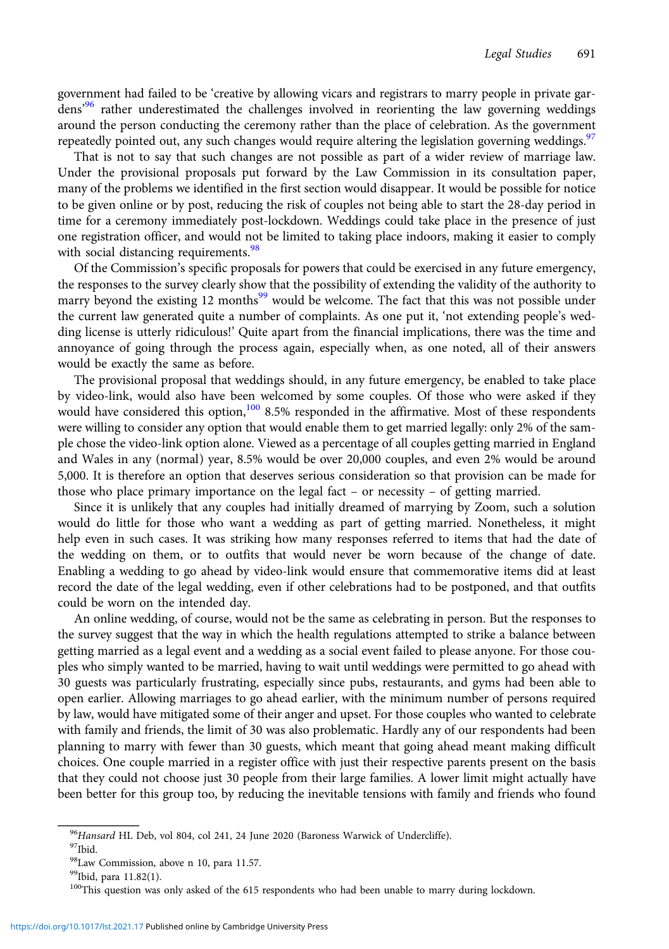government had failed to be 'creative by allowing vicars and registrars to marry people in private gardens<sup>296</sup> rather underestimated the challenges involved in reorienting the law governing weddings around the person conducting the ceremony rather than the place of celebration. As the government repeatedly pointed out, any such changes would require altering the legislation governing weddings.<sup>97</sup>

That is not to say that such changes are not possible as part of a wider review of marriage law. Under the provisional proposals put forward by the Law Commission in its consultation paper, many of the problems we identified in the first section would disappear. It would be possible for notice to be given online or by post, reducing the risk of couples not being able to start the 28-day period in time for a ceremony immediately post-lockdown. Weddings could take place in the presence of just one registration officer, and would not be limited to taking place indoors, making it easier to comply with social distancing requirements.<sup>98</sup>

Of the Commission's specific proposals for powers that could be exercised in any future emergency, the responses to the survey clearly show that the possibility of extending the validity of the authority to marry beyond the existing 12 months<sup>99</sup> would be welcome. The fact that this was not possible under the current law generated quite a number of complaints. As one put it, 'not extending people's wedding license is utterly ridiculous!' Quite apart from the financial implications, there was the time and annoyance of going through the process again, especially when, as one noted, all of their answers would be exactly the same as before.

The provisional proposal that weddings should, in any future emergency, be enabled to take place by video-link, would also have been welcomed by some couples. Of those who were asked if they would have considered this option,<sup>100</sup> 8.5% responded in the affirmative. Most of these respondents were willing to consider any option that would enable them to get married legally: only 2% of the sample chose the video-link option alone. Viewed as a percentage of all couples getting married in England and Wales in any (normal) year, 8.5% would be over 20,000 couples, and even 2% would be around 5,000. It is therefore an option that deserves serious consideration so that provision can be made for those who place primary importance on the legal fact – or necessity – of getting married.

Since it is unlikely that any couples had initially dreamed of marrying by Zoom, such a solution would do little for those who want a wedding as part of getting married. Nonetheless, it might help even in such cases. It was striking how many responses referred to items that had the date of the wedding on them, or to outfits that would never be worn because of the change of date. Enabling a wedding to go ahead by video-link would ensure that commemorative items did at least record the date of the legal wedding, even if other celebrations had to be postponed, and that outfits could be worn on the intended day.

An online wedding, of course, would not be the same as celebrating in person. But the responses to the survey suggest that the way in which the health regulations attempted to strike a balance between getting married as a legal event and a wedding as a social event failed to please anyone. For those couples who simply wanted to be married, having to wait until weddings were permitted to go ahead with 30 guests was particularly frustrating, especially since pubs, restaurants, and gyms had been able to open earlier. Allowing marriages to go ahead earlier, with the minimum number of persons required by law, would have mitigated some of their anger and upset. For those couples who wanted to celebrate with family and friends, the limit of 30 was also problematic. Hardly any of our respondents had been planning to marry with fewer than 30 guests, which meant that going ahead meant making difficult choices. One couple married in a register office with just their respective parents present on the basis that they could not choose just 30 people from their large families. A lower limit might actually have been better for this group too, by reducing the inevitable tensions with family and friends who found

 $^{96}\!Hansard$  HL Deb, vol 804, col 241, 24 June 2020 (Baroness Warwick of Undercliffe).  $^{97}\!Ibid$ 

<sup>98</sup>Law Commission, above n 10, para 11.57.

<sup>99</sup>Ibid, para 11.82(1).

<sup>&</sup>lt;sup>100</sup>This question was only asked of the 615 respondents who had been unable to marry during lockdown.